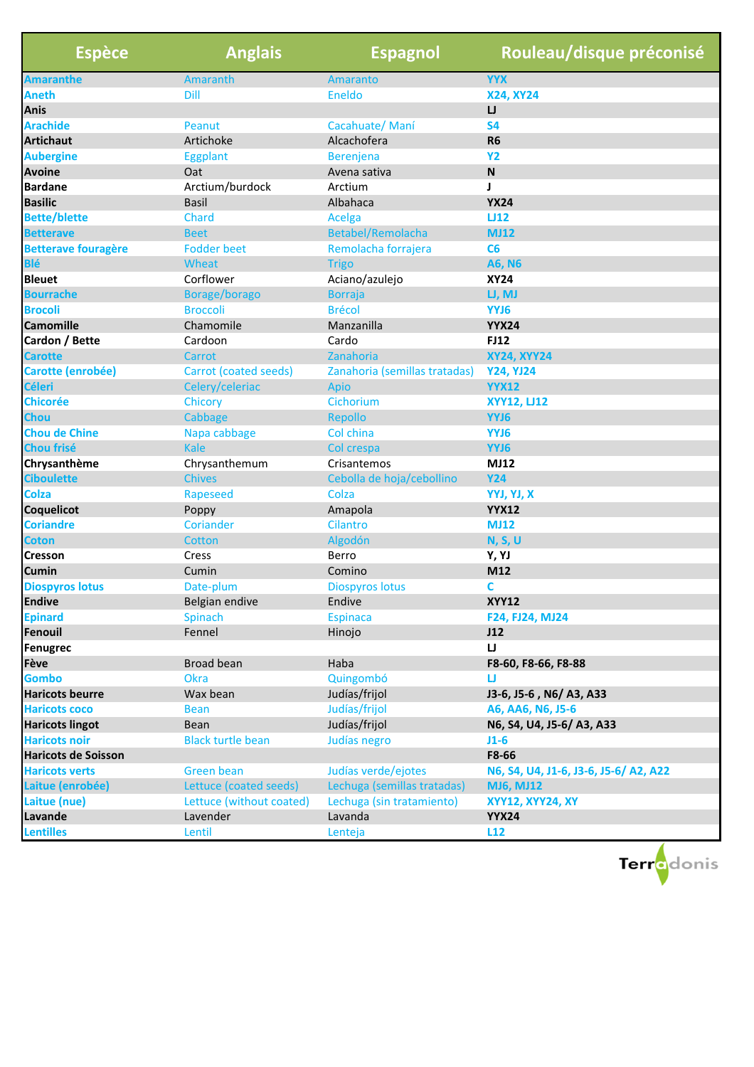| <b>Espèce</b>              | <b>Anglais</b>               | <b>Espagnol</b>               | Rouleau/disque préconisé              |
|----------------------------|------------------------------|-------------------------------|---------------------------------------|
| <b>Amaranthe</b>           | Amaranth                     | Amaranto                      | <b>YYX</b>                            |
| <b>Aneth</b>               | Dill                         | Eneldo                        | <b>X24, XY24</b>                      |
| <b>Anis</b>                |                              |                               | IJ                                    |
| <b>Arachide</b>            | Peanut                       | Cacahuate/Maní                | <b>S4</b>                             |
| <b>Artichaut</b>           | Artichoke                    | Alcachofera                   | R <sub>6</sub>                        |
| <b>Aubergine</b>           | Eggplant                     | Berenjena                     | <b>Y2</b>                             |
| <b>Avoine</b>              | Oat                          | Avena sativa                  | N                                     |
| <b>Bardane</b>             | Arctium/burdock              | Arctium                       | J                                     |
| <b>Basilic</b>             | <b>Basil</b>                 | Albahaca                      | <b>YX24</b>                           |
| <b>Bette/blette</b>        | Chard                        | Acelga                        | LJ12                                  |
| <b>Betterave</b>           | <b>Beet</b>                  | Betabel/Remolacha             | <b>MJ12</b>                           |
| <b>Betterave fouragère</b> | <b>Fodder beet</b>           | Remolacha forrajera           | C6                                    |
| <b>Blé</b>                 | Wheat                        | <b>Trigo</b>                  | <b>A6, N6</b>                         |
| <b>Bleuet</b>              | Corflower                    | Aciano/azulejo                | <b>XY24</b>                           |
| <b>Bourrache</b>           | Borage/borago                | <b>Borraja</b>                | LJ, MJ                                |
| <b>Brocoli</b>             | <b>Broccoli</b>              | <b>Brécol</b>                 | YYJ6                                  |
| <b>Camomille</b>           | Chamomile                    | Manzanilla                    | <b>YYX24</b>                          |
| Cardon / Bette             | Cardoon                      | Cardo                         | <b>FJ12</b>                           |
| <b>Carotte</b>             | Carrot                       | Zanahoria                     | <b>XY24, XYY24</b>                    |
| <b>Carotte (enrobée)</b>   | <b>Carrot (coated seeds)</b> | Zanahoria (semillas tratadas) | <b>Y24, YJ24</b>                      |
| <b>Céleri</b>              | Celery/celeriac              | <b>Apio</b>                   | <b>YYX12</b>                          |
| <b>Chicorée</b>            | Chicory                      | Cichorium                     | <b>XYY12, LJ12</b>                    |
| <b>Chou</b>                | Cabbage                      | Repollo                       | YYJ6                                  |
| <b>Chou de Chine</b>       | Napa cabbage                 | Col china                     | YYJ6                                  |
| <b>Chou frisé</b>          | Kale                         | Col crespa                    | YYJ6                                  |
| Chrysanthème               | Chrysanthemum                | Crisantemos                   | <b>MJ12</b>                           |
| <b>Ciboulette</b>          | <b>Chives</b>                | Cebolla de hoja/cebollino     | <b>Y24</b>                            |
| <b>Colza</b>               | Rapeseed                     | Colza                         | YYJ, YJ, X                            |
| <b>Coquelicot</b>          | Poppy                        | Amapola                       | <b>YYX12</b>                          |
| <b>Coriandre</b>           | Coriander                    | <b>Cilantro</b>               | <b>MJ12</b>                           |
| <b>Coton</b>               | Cotton                       | Algodón                       | <b>N, S, U</b>                        |
| <b>Cresson</b>             | Cress                        | Berro                         | Y, YJ                                 |
| <b>Cumin</b>               | Cumin                        | Comino                        | M12                                   |
| <b>Diospyros lotus</b>     | Date-plum                    | <b>Diospyros lotus</b>        | C                                     |
| <b>Endive</b>              | Belgian endive               | Endive                        | <b>XYY12</b>                          |
| <b>Epinard</b>             | Spinach                      | <b>Espinaca</b>               | F24, FJ24, MJ24                       |
| Fenouil                    | Fennel                       | Hinojo                        | J12                                   |
| Fenugrec                   |                              |                               | IJ                                    |
| Fève                       | <b>Broad bean</b>            | Haba                          | F8-60, F8-66, F8-88                   |
| <b>Gombo</b>               | Okra                         | Quingombó                     | u                                     |
| <b>Haricots beurre</b>     | Wax bean                     | Judías/frijol                 | J3-6, J5-6, N6/A3, A33                |
| <b>Haricots coco</b>       | <b>Bean</b>                  | Judías/frijol                 | A6, AA6, N6, J5-6                     |
| <b>Haricots lingot</b>     | Bean                         | Judías/frijol                 | N6, S4, U4, J5-6/ A3, A33             |
| <b>Haricots noir</b>       | <b>Black turtle bean</b>     | Judías negro                  | $J1-6$                                |
| <b>Haricots de Soisson</b> |                              |                               | F8-66                                 |
| <b>Haricots verts</b>      | Green bean                   | Judías verde/ejotes           | N6, S4, U4, J1-6, J3-6, J5-6/ A2, A22 |
| Laitue (enrobée)           | Lettuce (coated seeds)       | Lechuga (semillas tratadas)   | <b>MJ6, MJ12</b>                      |
| Laitue (nue)               | Lettuce (without coated)     | Lechuga (sin tratamiento)     | <b>XYY12, XYY24, XY</b>               |
| Lavande                    | Lavender                     | Lavanda                       | <b>YYX24</b>                          |
| <b>Lentilles</b>           | Lentil                       | Lenteja                       | L <sub>12</sub>                       |

Terrodonis